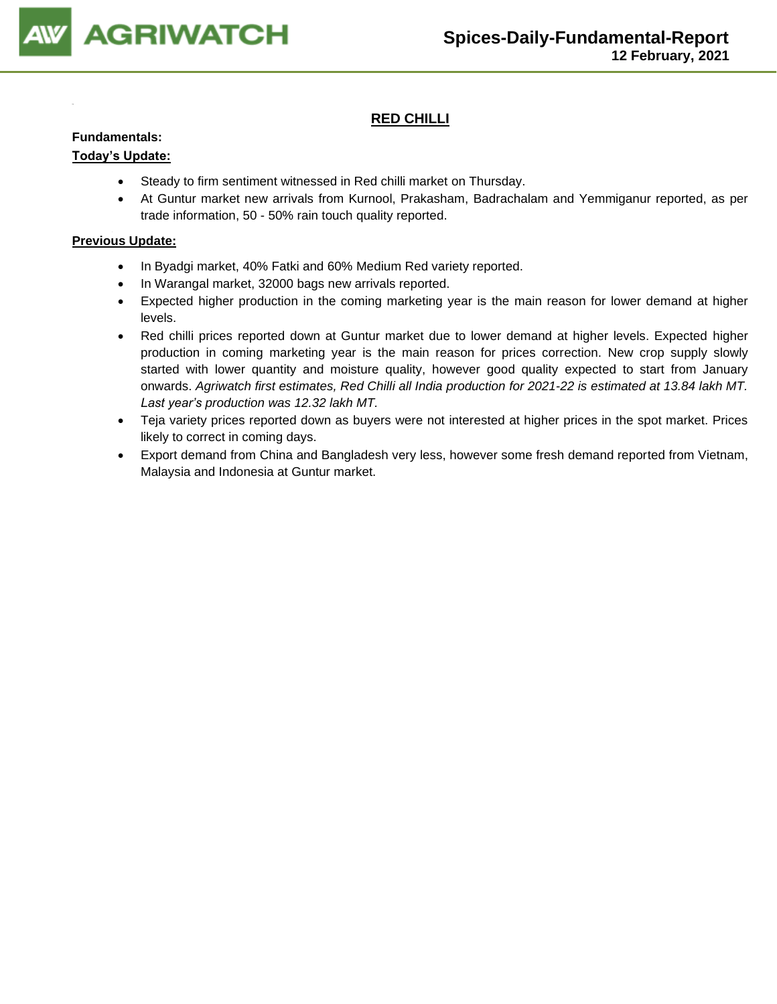

# **RED CHILLI**

## **Fundamentals:**

## **Today's Update:**

- Steady to firm sentiment witnessed in Red chilli market on Thursday.
- At Guntur market new arrivals from Kurnool, Prakasham, Badrachalam and Yemmiganur reported, as per trade information, 50 - 50% rain touch quality reported.

- In Byadgi market, 40% Fatki and 60% Medium Red variety reported.
- In Warangal market, 32000 bags new arrivals reported.
- Expected higher production in the coming marketing year is the main reason for lower demand at higher levels.
- Red chilli prices reported down at Guntur market due to lower demand at higher levels. Expected higher production in coming marketing year is the main reason for prices correction. New crop supply slowly started with lower quantity and moisture quality, however good quality expected to start from January onwards. *Agriwatch first estimates, Red Chilli all India production for 2021-22 is estimated at 13.84 lakh MT. Last year's production was 12.32 lakh MT.*
- Teja variety prices reported down as buyers were not interested at higher prices in the spot market. Prices likely to correct in coming days.
- Export demand from China and Bangladesh very less, however some fresh demand reported from Vietnam, Malaysia and Indonesia at Guntur market.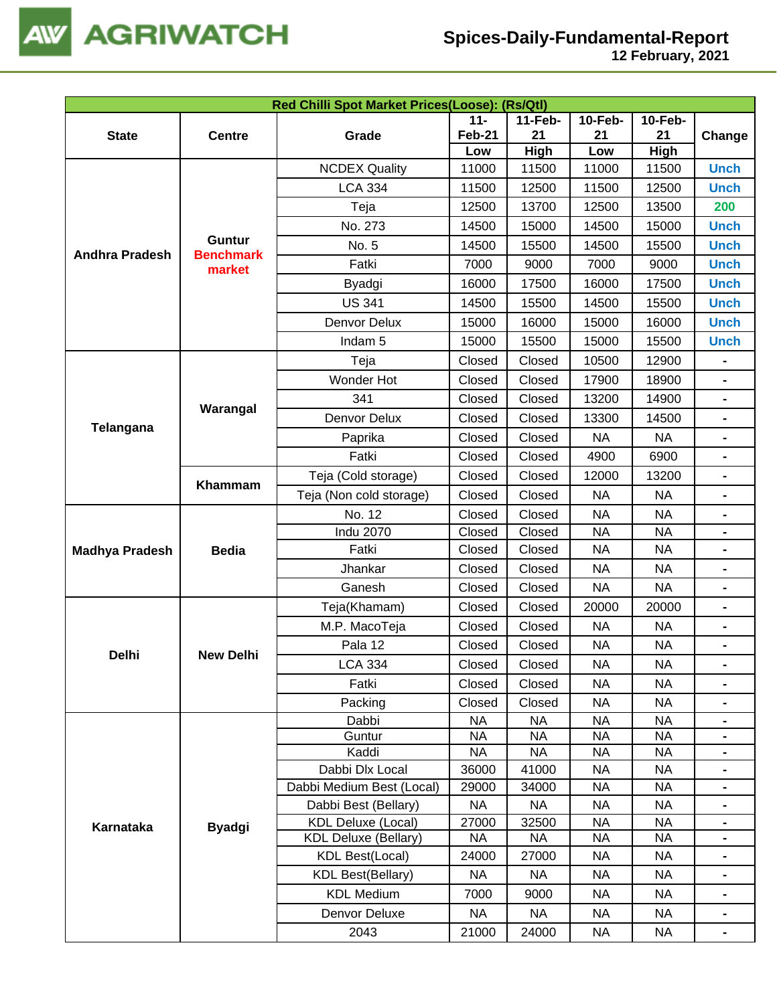

| Red Chilli Spot Market Prices(Loose): (Rs/Qtl) |                  |                             |                        |                        |                        |                                                                                                                                                                                                                                                                                                                                                                                |                                                                                                                               |  |  |
|------------------------------------------------|------------------|-----------------------------|------------------------|------------------------|------------------------|--------------------------------------------------------------------------------------------------------------------------------------------------------------------------------------------------------------------------------------------------------------------------------------------------------------------------------------------------------------------------------|-------------------------------------------------------------------------------------------------------------------------------|--|--|
|                                                |                  | $11 -$                      |                        |                        |                        | 11-Feb-<br><b>10-Feb-</b><br><b>10-Feb-</b>                                                                                                                                                                                                                                                                                                                                    |                                                                                                                               |  |  |
| <b>State</b>                                   | <b>Centre</b>    | Grade                       | <b>Feb-21</b><br>Low   | 21<br>High             | 21<br>Low              |                                                                                                                                                                                                                                                                                                                                                                                |                                                                                                                               |  |  |
|                                                |                  | <b>NCDEX Quality</b>        | 11000                  | 11500                  | 11000                  |                                                                                                                                                                                                                                                                                                                                                                                |                                                                                                                               |  |  |
|                                                |                  | <b>LCA 334</b>              | 11500                  | 12500                  | 11500                  |                                                                                                                                                                                                                                                                                                                                                                                |                                                                                                                               |  |  |
|                                                |                  | Teja                        | 12500                  | 13700                  | 12500                  |                                                                                                                                                                                                                                                                                                                                                                                |                                                                                                                               |  |  |
|                                                |                  | No. 273                     | 14500                  | 15000                  | 14500                  |                                                                                                                                                                                                                                                                                                                                                                                |                                                                                                                               |  |  |
|                                                | <b>Guntur</b>    | No. 5                       | 14500                  | 15500                  | 14500                  |                                                                                                                                                                                                                                                                                                                                                                                |                                                                                                                               |  |  |
| <b>Andhra Pradesh</b>                          | <b>Benchmark</b> | Fatki                       | 7000                   | 9000                   | 7000                   |                                                                                                                                                                                                                                                                                                                                                                                |                                                                                                                               |  |  |
|                                                | market           | Byadgi                      | 16000                  | 17500                  | 16000                  |                                                                                                                                                                                                                                                                                                                                                                                |                                                                                                                               |  |  |
|                                                |                  | <b>US 341</b>               | 14500                  | 15500                  | 14500                  |                                                                                                                                                                                                                                                                                                                                                                                |                                                                                                                               |  |  |
|                                                |                  | Denvor Delux                | 15000                  | 16000                  | 15000                  |                                                                                                                                                                                                                                                                                                                                                                                | <b>Unch</b>                                                                                                                   |  |  |
|                                                |                  | Indam <sub>5</sub>          | 15000                  | 15500                  | 15000                  | 15500                                                                                                                                                                                                                                                                                                                                                                          | <b>Unch</b>                                                                                                                   |  |  |
|                                                |                  | Teja                        | Closed                 | Closed                 | 10500                  | 12900                                                                                                                                                                                                                                                                                                                                                                          |                                                                                                                               |  |  |
|                                                |                  | Wonder Hot                  | Closed                 | Closed                 | 17900                  | 18900                                                                                                                                                                                                                                                                                                                                                                          |                                                                                                                               |  |  |
|                                                |                  | 341                         | Closed                 | Closed                 | 13200                  | 14900                                                                                                                                                                                                                                                                                                                                                                          | $\blacksquare$                                                                                                                |  |  |
|                                                | Warangal         | Denvor Delux                | Closed                 | Closed                 | 13300                  | 14500                                                                                                                                                                                                                                                                                                                                                                          |                                                                                                                               |  |  |
| Telangana                                      |                  | Paprika                     | Closed                 | Closed                 | <b>NA</b>              | <b>NA</b>                                                                                                                                                                                                                                                                                                                                                                      |                                                                                                                               |  |  |
|                                                |                  | Fatki                       | Closed                 | Closed                 | 4900                   | 6900                                                                                                                                                                                                                                                                                                                                                                           |                                                                                                                               |  |  |
|                                                |                  | Teja (Cold storage)         | Closed                 | Closed                 | 12000                  | 13200                                                                                                                                                                                                                                                                                                                                                                          | $\blacksquare$                                                                                                                |  |  |
|                                                | Khammam          | Teja (Non cold storage)     | Closed                 | Closed                 | <b>NA</b>              | <b>NA</b>                                                                                                                                                                                                                                                                                                                                                                      |                                                                                                                               |  |  |
|                                                |                  | No. 12                      | Closed                 | Closed                 | <b>NA</b>              | <b>NA</b>                                                                                                                                                                                                                                                                                                                                                                      |                                                                                                                               |  |  |
|                                                |                  | <b>Indu 2070</b>            | Closed                 | Closed                 | <b>NA</b>              | <b>NA</b>                                                                                                                                                                                                                                                                                                                                                                      |                                                                                                                               |  |  |
| <b>Madhya Pradesh</b>                          | <b>Bedia</b>     | Fatki                       | Closed                 | Closed                 | <b>NA</b>              | 21<br>High<br>11500<br>12500<br>13500<br>15000<br>15500<br>9000<br>17500<br>15500<br>16000<br><b>NA</b><br><b>NA</b><br><b>NA</b><br>20000<br><b>NA</b><br><b>NA</b><br>NA.<br><b>NA</b><br><b>NA</b><br><b>NA</b><br><b>NA</b><br><b>NA</b><br><b>NA</b><br><b>NA</b><br><b>NA</b><br><b>NA</b><br><b>NA</b><br><b>NA</b><br><b>NA</b><br><b>NA</b><br><b>NA</b><br><b>NA</b> | $\blacksquare$                                                                                                                |  |  |
|                                                |                  | Jhankar                     | Closed                 | Closed                 | <b>NA</b>              |                                                                                                                                                                                                                                                                                                                                                                                | $\blacksquare$                                                                                                                |  |  |
|                                                |                  | Ganesh                      | Closed                 | Closed                 | <b>NA</b>              |                                                                                                                                                                                                                                                                                                                                                                                |                                                                                                                               |  |  |
|                                                |                  | Teja(Khamam)                | Closed                 | Closed                 | 20000                  |                                                                                                                                                                                                                                                                                                                                                                                | $\blacksquare$                                                                                                                |  |  |
|                                                |                  | M.P. MacoTeja               | Closed                 | Closed                 | <b>NA</b>              |                                                                                                                                                                                                                                                                                                                                                                                | <b>Unch</b><br><b>Unch</b><br><b>Unch</b><br><b>Unch</b><br><b>Unch</b><br>$\blacksquare$<br>$\blacksquare$<br>$\blacksquare$ |  |  |
| <b>Delhi</b>                                   | <b>New Delhi</b> | Pala 12                     | Closed                 | Closed                 | <b>NA</b>              |                                                                                                                                                                                                                                                                                                                                                                                |                                                                                                                               |  |  |
|                                                |                  | LCA 334                     | Closed                 | Closed                 | NA                     |                                                                                                                                                                                                                                                                                                                                                                                |                                                                                                                               |  |  |
|                                                |                  | Fatki                       | Closed                 | Closed                 | <b>NA</b>              |                                                                                                                                                                                                                                                                                                                                                                                |                                                                                                                               |  |  |
|                                                |                  | Packing                     | Closed                 | Closed                 | <b>NA</b>              |                                                                                                                                                                                                                                                                                                                                                                                |                                                                                                                               |  |  |
|                                                |                  | Dabbi<br>Guntur             | <b>NA</b><br><b>NA</b> | <b>NA</b><br><b>NA</b> | <b>NA</b><br><b>NA</b> |                                                                                                                                                                                                                                                                                                                                                                                |                                                                                                                               |  |  |
|                                                |                  | Kaddi                       | <b>NA</b>              | NA                     | <b>NA</b>              |                                                                                                                                                                                                                                                                                                                                                                                | Change<br><b>Unch</b><br><b>Unch</b><br>200<br>$\blacksquare$                                                                 |  |  |
|                                                |                  | Dabbi Dlx Local             | 36000                  | 41000                  | <b>NA</b>              |                                                                                                                                                                                                                                                                                                                                                                                |                                                                                                                               |  |  |
|                                                |                  | Dabbi Medium Best (Local)   | 29000                  | 34000                  | <b>NA</b>              |                                                                                                                                                                                                                                                                                                                                                                                |                                                                                                                               |  |  |
|                                                |                  | Dabbi Best (Bellary)        | <b>NA</b>              | <b>NA</b>              | <b>NA</b>              |                                                                                                                                                                                                                                                                                                                                                                                |                                                                                                                               |  |  |
| Karnataka                                      | <b>Byadgi</b>    | <b>KDL Deluxe (Local)</b>   | 27000                  | 32500                  | <b>NA</b>              |                                                                                                                                                                                                                                                                                                                                                                                |                                                                                                                               |  |  |
|                                                |                  | <b>KDL Deluxe (Bellary)</b> | NA                     | <b>NA</b>              | <b>NA</b>              |                                                                                                                                                                                                                                                                                                                                                                                |                                                                                                                               |  |  |
|                                                |                  | <b>KDL Best(Local)</b>      | 24000                  | 27000                  | <b>NA</b>              |                                                                                                                                                                                                                                                                                                                                                                                |                                                                                                                               |  |  |
|                                                |                  | <b>KDL Best(Bellary)</b>    | <b>NA</b>              | <b>NA</b>              | <b>NA</b>              |                                                                                                                                                                                                                                                                                                                                                                                |                                                                                                                               |  |  |
|                                                |                  | <b>KDL Medium</b>           | 7000                   | 9000                   | <b>NA</b>              |                                                                                                                                                                                                                                                                                                                                                                                |                                                                                                                               |  |  |
|                                                |                  | Denvor Deluxe               | <b>NA</b>              | <b>NA</b>              | <b>NA</b>              |                                                                                                                                                                                                                                                                                                                                                                                |                                                                                                                               |  |  |
|                                                |                  | 2043                        | 21000                  | 24000                  | <b>NA</b>              |                                                                                                                                                                                                                                                                                                                                                                                |                                                                                                                               |  |  |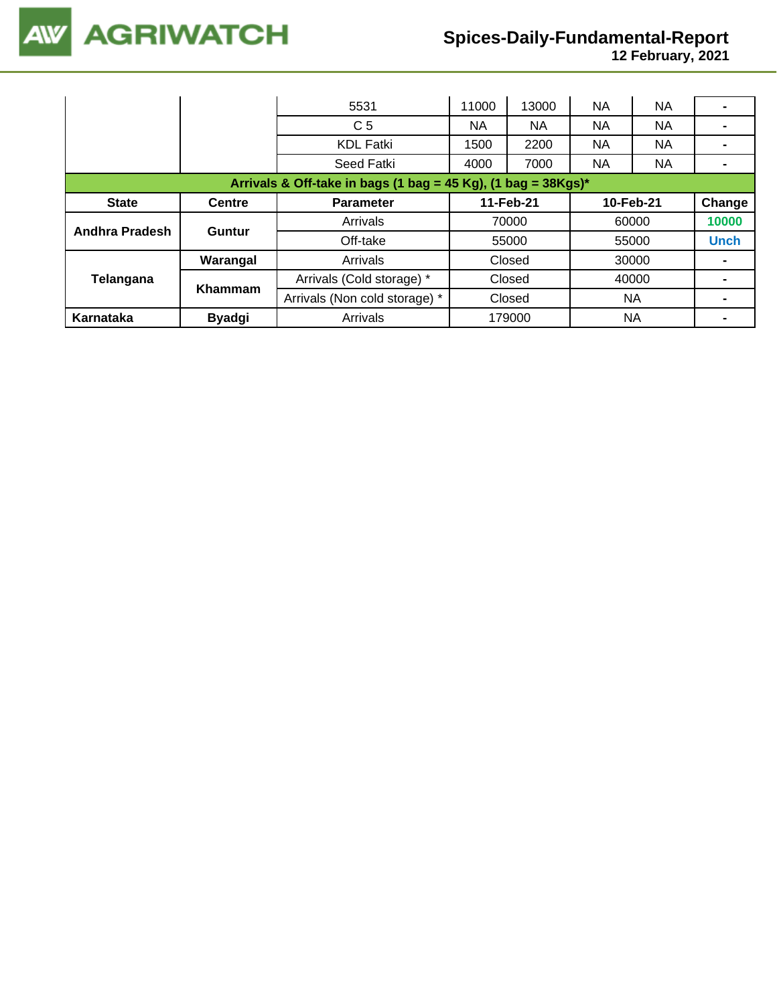**12 February, 2021**

|                                                                  |               | 5531                          | 11000     | 13000  | <b>NA</b> | <b>NA</b> |             |  |  |
|------------------------------------------------------------------|---------------|-------------------------------|-----------|--------|-----------|-----------|-------------|--|--|
|                                                                  |               | C <sub>5</sub>                | NА        | NА     | <b>NA</b> | NA.       |             |  |  |
|                                                                  |               | <b>KDL Fatki</b>              | 1500      | 2200   | <b>NA</b> | <b>NA</b> | -           |  |  |
|                                                                  |               | Seed Fatki                    | 4000      | 7000   | <b>NA</b> | <b>NA</b> |             |  |  |
| Arrivals & Off-take in bags (1 bag = 45 Kg), (1 bag = $38Kgs$ )* |               |                               |           |        |           |           |             |  |  |
| <b>State</b>                                                     | <b>Centre</b> | <b>Parameter</b>              | 11-Feb-21 |        | 10-Feb-21 |           | Change      |  |  |
|                                                                  | Guntur        | Arrivals                      | 70000     |        | 60000     |           | 10000       |  |  |
| Andhra Pradesh                                                   |               | Off-take                      |           | 55000  |           | 55000     | <b>Unch</b> |  |  |
|                                                                  | Warangal      | Arrivals                      |           | Closed |           | 30000     |             |  |  |
| Telangana                                                        | Khammam       | Arrivals (Cold storage) *     | Closed    |        | 40000     |           |             |  |  |
|                                                                  |               | Arrivals (Non cold storage) * |           | Closed |           | <b>NA</b> |             |  |  |
| Karnataka                                                        | <b>Byadgi</b> | Arrivals                      | 179000    |        | <b>NA</b> |           |             |  |  |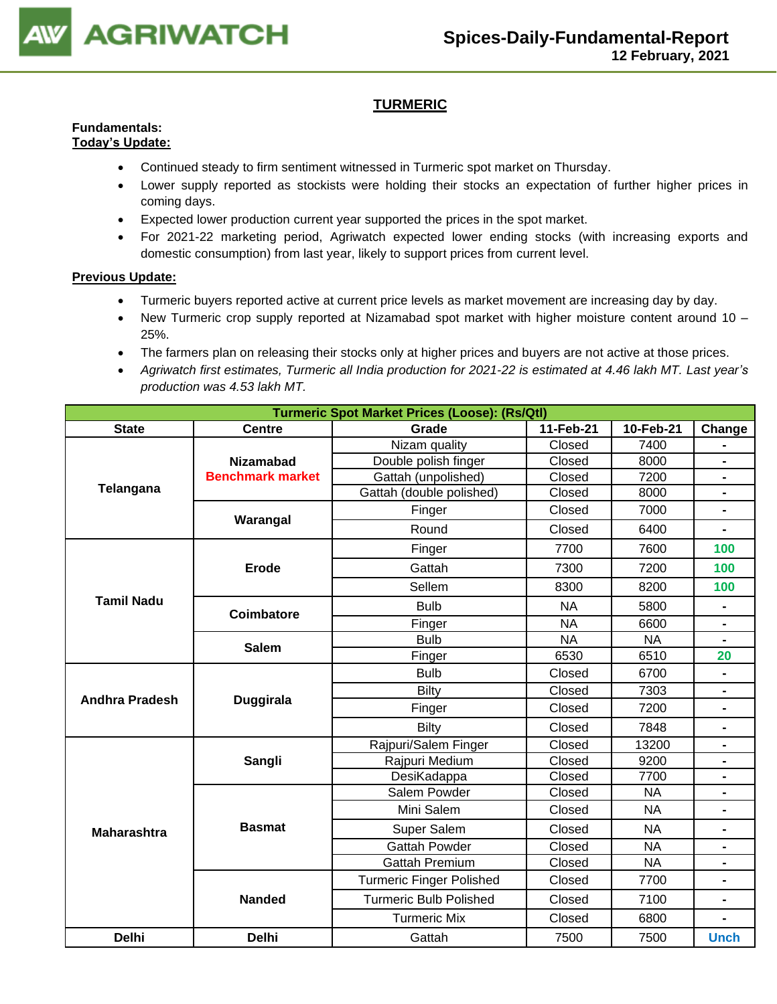

# **TURMERIC**

#### **Fundamentals: Today's Update:**

- Continued steady to firm sentiment witnessed in Turmeric spot market on Thursday.
- Lower supply reported as stockists were holding their stocks an expectation of further higher prices in coming days.
- Expected lower production current year supported the prices in the spot market.
- For 2021-22 marketing period, Agriwatch expected lower ending stocks (with increasing exports and domestic consumption) from last year, likely to support prices from current level.

- Turmeric buyers reported active at current price levels as market movement are increasing day by day.
- New Turmeric crop supply reported at Nizamabad spot market with higher moisture content around 10 25%.
- The farmers plan on releasing their stocks only at higher prices and buyers are not active at those prices.
- *Agriwatch first estimates, Turmeric all India production for 2021-22 is estimated at 4.46 lakh MT. Last year's production was 4.53 lakh MT.*

| <b>Turmeric Spot Market Prices (Loose): (Rs/Qtl)</b> |                         |                                 |           |                |                      |  |  |  |  |  |
|------------------------------------------------------|-------------------------|---------------------------------|-----------|----------------|----------------------|--|--|--|--|--|
| <b>State</b>                                         | <b>Centre</b>           | Grade                           | 11-Feb-21 | 10-Feb-21      | Change               |  |  |  |  |  |
|                                                      |                         | Nizam quality                   | Closed    | 7400           |                      |  |  |  |  |  |
|                                                      | <b>Nizamabad</b>        | Double polish finger            | Closed    | 8000           | Ξ.                   |  |  |  |  |  |
| Telangana                                            | <b>Benchmark market</b> | Gattah (unpolished)             | Closed    | 7200           | $\blacksquare$       |  |  |  |  |  |
|                                                      |                         | Gattah (double polished)        | Closed    | 8000           | $\blacksquare$       |  |  |  |  |  |
|                                                      | Warangal                | Finger                          | Closed    | 7000           | $\blacksquare$       |  |  |  |  |  |
|                                                      |                         | Round                           | Closed    | 6400           |                      |  |  |  |  |  |
|                                                      |                         | Finger                          | 7700      | 7600           | 100                  |  |  |  |  |  |
|                                                      | <b>Erode</b>            | Gattah                          | 7300      | 7200           | 100                  |  |  |  |  |  |
|                                                      |                         | Sellem                          | 8300      | 8200           | 100                  |  |  |  |  |  |
| <b>Tamil Nadu</b>                                    | <b>Coimbatore</b>       | <b>Bulb</b>                     | <b>NA</b> | 5800           | $\blacksquare$       |  |  |  |  |  |
|                                                      |                         | Finger                          | <b>NA</b> | 6600           | $\blacksquare$       |  |  |  |  |  |
|                                                      | <b>Salem</b>            | <b>Bulb</b>                     | <b>NA</b> | <b>NA</b>      | 20<br>$\blacksquare$ |  |  |  |  |  |
|                                                      |                         | Finger                          | 6530      | 6510           |                      |  |  |  |  |  |
|                                                      |                         | <b>Bulb</b>                     | Closed    | 6700           |                      |  |  |  |  |  |
| <b>Andhra Pradesh</b>                                | <b>Duggirala</b>        | <b>Bilty</b>                    | Closed    | 7303           |                      |  |  |  |  |  |
|                                                      |                         | Finger                          | Closed    | 7200           | $\blacksquare$       |  |  |  |  |  |
|                                                      |                         | <b>Bilty</b>                    | Closed    | 7848           | $\blacksquare$       |  |  |  |  |  |
|                                                      |                         | Rajpuri/Salem Finger            | Closed    | 13200          | $\blacksquare$       |  |  |  |  |  |
|                                                      | Sangli                  | Rajpuri Medium                  | Closed    | 9200           |                      |  |  |  |  |  |
|                                                      |                         | DesiKadappa                     | Closed    | 7700           | $\blacksquare$       |  |  |  |  |  |
|                                                      |                         | Salem Powder                    | Closed    | <b>NA</b>      |                      |  |  |  |  |  |
|                                                      |                         | Mini Salem                      | Closed    | <b>NA</b>      | $\blacksquare$       |  |  |  |  |  |
| <b>Maharashtra</b>                                   | <b>Basmat</b>           | Super Salem                     | Closed    | <b>NA</b>      | $\blacksquare$       |  |  |  |  |  |
|                                                      |                         | <b>Gattah Powder</b>            | Closed    | N <sub>A</sub> | $\blacksquare$       |  |  |  |  |  |
|                                                      |                         | <b>Gattah Premium</b>           | Closed    | <b>NA</b>      |                      |  |  |  |  |  |
|                                                      |                         | <b>Turmeric Finger Polished</b> | Closed    | 7700           |                      |  |  |  |  |  |
|                                                      | <b>Nanded</b>           | <b>Turmeric Bulb Polished</b>   | Closed    | 7100           | $\blacksquare$       |  |  |  |  |  |
|                                                      |                         | <b>Turmeric Mix</b>             | Closed    | 6800           | $\blacksquare$       |  |  |  |  |  |
| <b>Delhi</b>                                         | <b>Delhi</b>            | Gattah                          | 7500      | 7500           | <b>Unch</b>          |  |  |  |  |  |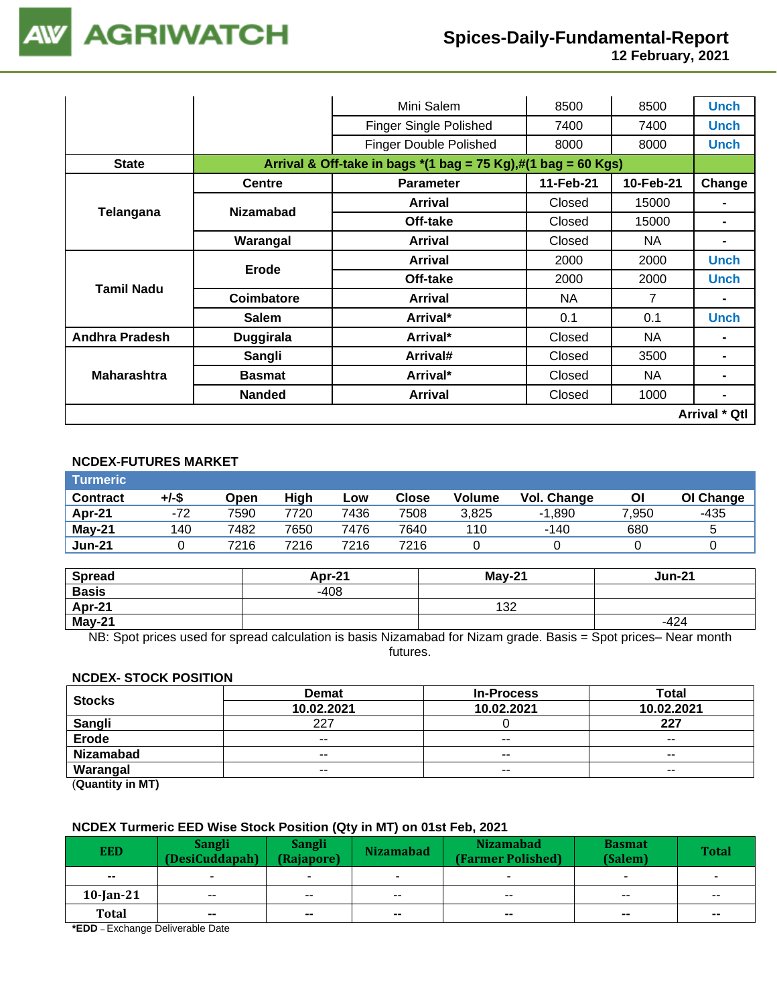**12 February, 2021**

|                       |                  | Mini Salem                                                                                                                      | 8500   | 8500  | <b>Unch</b>          |  |  |
|-----------------------|------------------|---------------------------------------------------------------------------------------------------------------------------------|--------|-------|----------------------|--|--|
|                       |                  | <b>Finger Single Polished</b>                                                                                                   | 7400   | 7400  | <b>Unch</b>          |  |  |
|                       |                  | <b>Finger Double Polished</b>                                                                                                   | 8000   | 8000  | <b>Unch</b>          |  |  |
| <b>State</b>          |                  | Arrival & Off-take in bags $*(1 \text{ bag} = 75 \text{ Kg}),\#(1 \text{ bag} = 60 \text{ Kg})$                                 |        |       |                      |  |  |
|                       | <b>Centre</b>    | 11-Feb-21<br>10-Feb-21<br><b>Parameter</b><br>Closed<br><b>Arrival</b><br>Off-take<br>Closed<br>Closed<br>NA.<br><b>Arrival</b> |        |       |                      |  |  |
|                       | <b>Nizamabad</b> |                                                                                                                                 |        | 15000 | ۰                    |  |  |
| Telangana             |                  |                                                                                                                                 |        | 15000 | -                    |  |  |
|                       | Warangal         |                                                                                                                                 |        |       | -                    |  |  |
|                       | Erode            | <b>Arrival</b>                                                                                                                  | 2000   | 2000  | <b>Unch</b>          |  |  |
| Tamil Nadu            |                  | Off-take                                                                                                                        | 2000   | 2000  | Unch                 |  |  |
|                       | Coimbatore       | <b>Arrival</b>                                                                                                                  | NA.    | 7     | ۰                    |  |  |
|                       | <b>Salem</b>     | Arrival*                                                                                                                        | 0.1    | 0.1   | <b>Unch</b>          |  |  |
| <b>Andhra Pradesh</b> | <b>Duggirala</b> | Arrival*                                                                                                                        | Closed | NA.   | -                    |  |  |
|                       | Sangli           | Arrival#                                                                                                                        | Closed | 3500  |                      |  |  |
| <b>Maharashtra</b>    | <b>Basmat</b>    | Arrival*                                                                                                                        | Closed | NA    | ۰                    |  |  |
|                       | <b>Nanded</b>    | <b>Arrival</b>                                                                                                                  | Closed | 1000  | ۰                    |  |  |
|                       |                  |                                                                                                                                 |        |       | <b>Arrival * Qtl</b> |  |  |

# **NCDEX-FUTURES MARKET**

| <b>Turmeric</b> |          |      |      |      |              |               |                    |       |           |
|-----------------|----------|------|------|------|--------------|---------------|--------------------|-------|-----------|
| <b>Contract</b> | $+/-$ \$ | Open | High | LOW  | <b>Close</b> | <b>Volume</b> | <b>Vol. Change</b> | Οl    | OI Change |
| Apr-21          | -72      | 7590 | 7720 | 7436 | 7508         | 3.825         | $-1.890$           | 7,950 | -435      |
| $May-21$        | 140      | 7482 | 7650 | 7476 | 7640         | 110           | $-140$             | 680   | 5         |
| <b>Jun-21</b>   |          | 7216 | 7216 | 7216 | 7216         |               |                    |       |           |

| <b>Spread</b> | Apr-21 | $Mav-21$ | <b>Jun-21</b> |
|---------------|--------|----------|---------------|
| <b>Basis</b>  | $-408$ |          |               |
| Apr-21        |        | 132      |               |
| $May-21$      |        |          | $-424$        |

NB: Spot prices used for spread calculation is basis Nizamabad for Nizam grade. Basis = Spot prices– Near month futures.

## **NCDEX- STOCK POSITION**

| <b>Stocks</b>    | <b>Demat</b> | <b>In-Process</b> | Total         |
|------------------|--------------|-------------------|---------------|
|                  | 10.02.2021   | 10.02.2021        | 10.02.2021    |
| <b>Sangli</b>    | 227          |                   | 227           |
| <b>Erode</b>     | $- -$        | $-$               | $- -$         |
| <b>Nizamabad</b> | $- -$        | $- -$             | $- -$         |
| Warangal         | $- -$        | $\sim$ $\sim$     | $\sim$ $\sim$ |
|                  |              |                   |               |

(**Quantity in MT)**

## **NCDEX Turmeric EED Wise Stock Position (Qty in MT) on 01st Feb, 2021**

| <b>EED</b>                       | <b>Sangli</b><br>(DesiCuddapah) | <b>Sangli</b><br>(Rajapore) | <b>Nizamabad</b><br><b>Nizamabad</b><br>(Farmer Polished) |                          | <b>Basmat</b><br>(Salem) | <b>Total</b>             |
|----------------------------------|---------------------------------|-----------------------------|-----------------------------------------------------------|--------------------------|--------------------------|--------------------------|
| $- -$                            |                                 |                             |                                                           |                          | $\sim$                   |                          |
| $10$ -Jan-21                     | $\sim$ $\sim$                   | $- -$                       | $- -$                                                     | $- -$                    | $- -$                    | --                       |
| <b>Total</b><br>$\sim$ $   \sim$ | $\sim$<br>_<br>.                | $\overline{\phantom{a}}$    | $\overline{\phantom{a}}$                                  | $\overline{\phantom{a}}$ | $\sim$                   | $\overline{\phantom{a}}$ |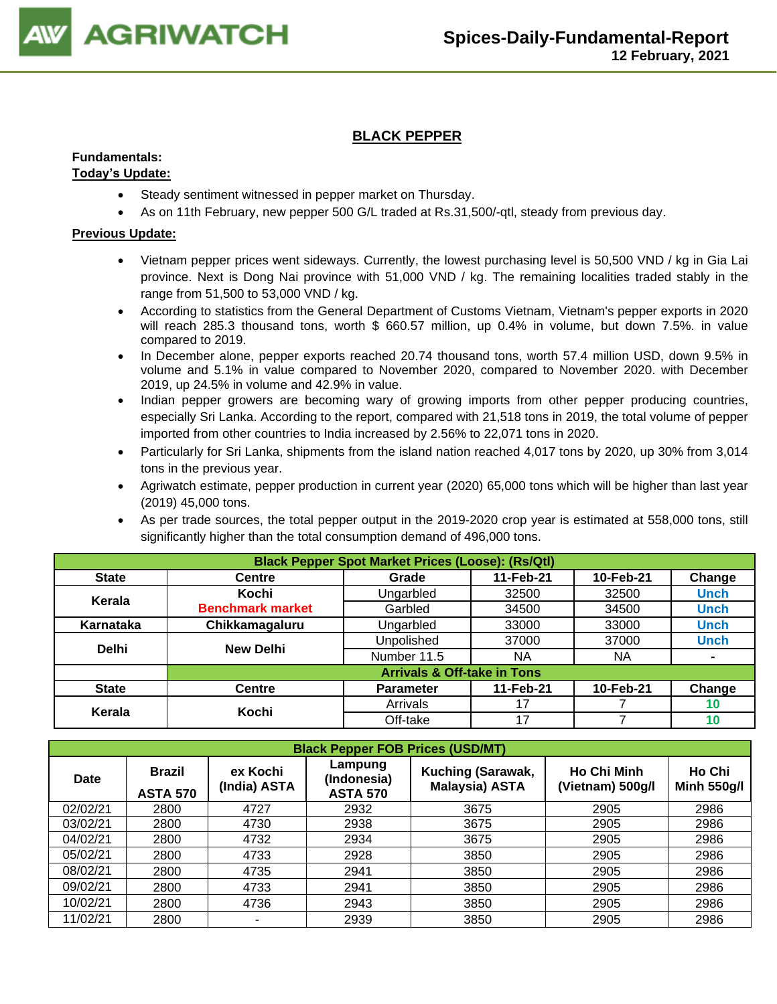

# **BLACK PEPPER**

## **Fundamentals:**

## **Today's Update:**

- Steady sentiment witnessed in pepper market on Thursday.
- As on 11th February, new pepper 500 G/L traded at Rs.31,500/-qtl, steady from previous day.

- Vietnam pepper prices went sideways. Currently, the lowest purchasing level is 50,500 VND / kg in Gia Lai province. Next is Dong Nai province with 51,000 VND / kg. The remaining localities traded stably in the range from 51,500 to 53,000 VND / kg.
- According to statistics from the General Department of Customs Vietnam, Vietnam's pepper exports in 2020 will reach 285.3 thousand tons, worth \$ 660.57 million, up 0.4% in volume, but down 7.5%. in value compared to 2019.
- In December alone, pepper exports reached 20.74 thousand tons, worth 57.4 million USD, down 9.5% in volume and 5.1% in value compared to November 2020, compared to November 2020. with December 2019, up 24.5% in volume and 42.9% in value.
- Indian pepper growers are becoming wary of growing imports from other pepper producing countries, especially Sri Lanka. According to the report, compared with 21,518 tons in 2019, the total volume of pepper imported from other countries to India increased by 2.56% to 22,071 tons in 2020.
- Particularly for Sri Lanka, shipments from the island nation reached 4,017 tons by 2020, up 30% from 3,014 tons in the previous year.
- Agriwatch estimate, pepper production in current year (2020) 65,000 tons which will be higher than last year (2019) 45,000 tons.
- As per trade sources, the total pepper output in the 2019-2020 crop year is estimated at 558,000 tons, still significantly higher than the total consumption demand of 496,000 tons.

| <b>Black Pepper Spot Market Prices (Loose): (Rs/Qtl)</b> |                                        |                  |           |           |                |  |  |  |  |
|----------------------------------------------------------|----------------------------------------|------------------|-----------|-----------|----------------|--|--|--|--|
| <b>State</b>                                             | <b>Centre</b>                          | Grade            | 11-Feb-21 | 10-Feb-21 | Change         |  |  |  |  |
| Kerala                                                   | Kochi                                  | Ungarbled        | 32500     | 32500     | <b>Unch</b>    |  |  |  |  |
|                                                          | <b>Benchmark market</b>                | Garbled          | 34500     | 34500     | <b>Unch</b>    |  |  |  |  |
| Karnataka                                                | Chikkamagaluru                         | Ungarbled        | 33000     | 33000     | <b>Unch</b>    |  |  |  |  |
| <b>Delhi</b>                                             | <b>New Delhi</b>                       | Unpolished       | 37000     | 37000     | <b>Unch</b>    |  |  |  |  |
|                                                          |                                        | Number 11.5      | <b>NA</b> | <b>NA</b> | $\blacksquare$ |  |  |  |  |
|                                                          | <b>Arrivals &amp; Off-take in Tons</b> |                  |           |           |                |  |  |  |  |
| <b>State</b>                                             | <b>Centre</b>                          | <b>Parameter</b> | 11-Feb-21 | 10-Feb-21 | Change         |  |  |  |  |
| Kerala                                                   | Kochi                                  | Arrivals         | 17        |           | 10             |  |  |  |  |
|                                                          |                                        | Off-take         | 17        |           | 10             |  |  |  |  |

|             | <b>Black Pepper FOB Prices (USD/MT)</b> |                          |                                           |                                            |                                        |                              |  |  |  |  |  |
|-------------|-----------------------------------------|--------------------------|-------------------------------------------|--------------------------------------------|----------------------------------------|------------------------------|--|--|--|--|--|
| <b>Date</b> | <b>Brazil</b><br><b>ASTA 570</b>        | ex Kochi<br>(India) ASTA | Lampung<br>(Indonesia)<br><b>ASTA 570</b> | Kuching (Sarawak,<br><b>Malaysia) ASTA</b> | <b>Ho Chi Minh</b><br>(Vietnam) 500g/l | Ho Chi<br><b>Minh 550g/l</b> |  |  |  |  |  |
| 02/02/21    | 2800                                    | 4727                     | 2932                                      | 3675                                       | 2905                                   | 2986                         |  |  |  |  |  |
| 03/02/21    | 2800                                    | 4730                     | 2938                                      | 3675                                       | 2905                                   | 2986                         |  |  |  |  |  |
| 04/02/21    | 2800                                    | 4732                     | 2934                                      | 3675                                       | 2905                                   | 2986                         |  |  |  |  |  |
| 05/02/21    | 2800                                    | 4733                     | 2928                                      | 3850                                       | 2905                                   | 2986                         |  |  |  |  |  |
| 08/02/21    | 2800                                    | 4735                     | 2941                                      | 3850                                       | 2905                                   | 2986                         |  |  |  |  |  |
| 09/02/21    | 2800                                    | 4733                     | 2941                                      | 3850                                       | 2905                                   | 2986                         |  |  |  |  |  |
| 10/02/21    | 2800                                    | 4736                     | 2943                                      | 3850                                       | 2905                                   | 2986                         |  |  |  |  |  |
| 11/02/21    | 2800                                    |                          | 2939                                      | 3850                                       | 2905                                   | 2986                         |  |  |  |  |  |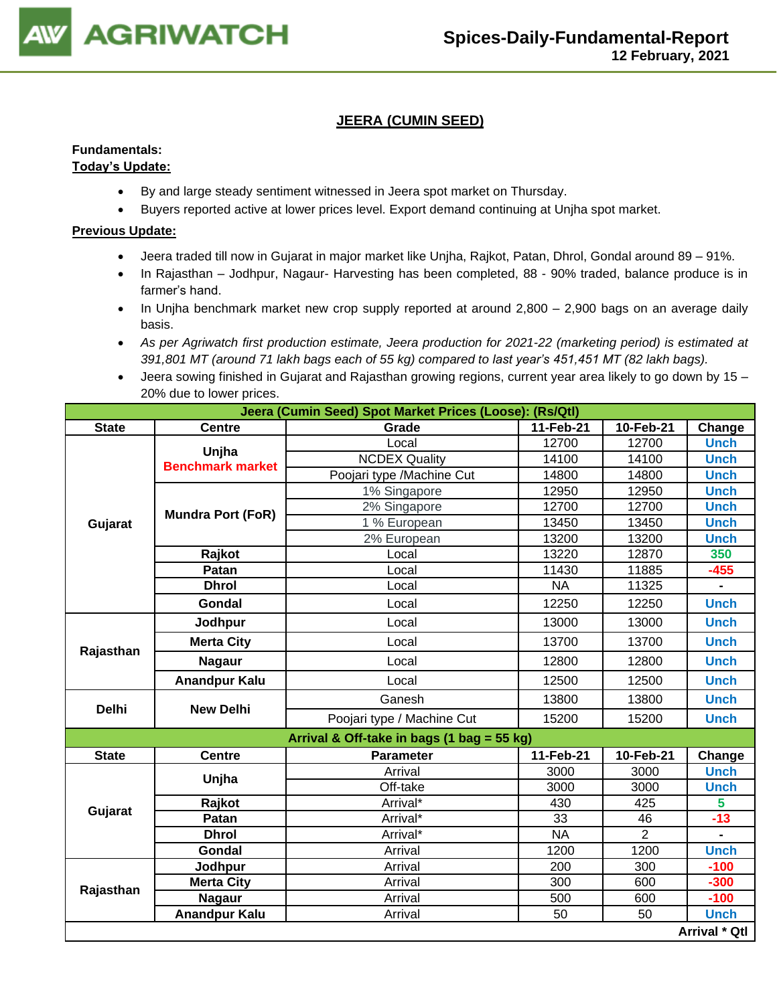

# **JEERA (CUMIN SEED)**

# **Fundamentals:**

# **Today's Update:**

- By and large steady sentiment witnessed in Jeera spot market on Thursday.
- Buyers reported active at lower prices level. Export demand continuing at Unjha spot market.

- Jeera traded till now in Gujarat in major market like Unjha, Rajkot, Patan, Dhrol, Gondal around 89 91%.
- In Rajasthan Jodhpur, Nagaur- Harvesting has been completed, 88 90% traded, balance produce is in farmer's hand.
- In Unjha benchmark market new crop supply reported at around 2,800 2,900 bags on an average daily basis.
- *As per Agriwatch first production estimate, Jeera production for 2021-22 (marketing period) is estimated at 391,801 MT (around 71 lakh bags each of 55 kg) compared to last year's 451,451 MT (82 lakh bags).*
- Jeera sowing finished in Gujarat and Rajasthan growing regions, current year area likely to go down by 15 20% due to lower prices.

|              | Jeera (Cumin Seed) Spot Market Prices (Loose): (Rs/Qtl) |                                            |           |           |               |  |  |  |  |
|--------------|---------------------------------------------------------|--------------------------------------------|-----------|-----------|---------------|--|--|--|--|
| <b>State</b> | <b>Centre</b>                                           | Grade                                      | 11-Feb-21 | 10-Feb-21 | Change        |  |  |  |  |
|              | Unjha                                                   | Local                                      | 12700     | 12700     | <b>Unch</b>   |  |  |  |  |
|              | <b>Benchmark market</b>                                 | <b>NCDEX Quality</b>                       | 14100     | 14100     | <b>Unch</b>   |  |  |  |  |
|              |                                                         | Poojari type /Machine Cut                  | 14800     | 14800     | <b>Unch</b>   |  |  |  |  |
|              |                                                         | 1% Singapore                               | 12950     | 12950     | <b>Unch</b>   |  |  |  |  |
|              | <b>Mundra Port (FoR)</b>                                | 2% Singapore                               | 12700     | 12700     | <b>Unch</b>   |  |  |  |  |
| Gujarat      |                                                         | 1 % European                               | 13450     | 13450     | <b>Unch</b>   |  |  |  |  |
|              |                                                         | 2% European                                | 13200     | 13200     | <b>Unch</b>   |  |  |  |  |
|              | Rajkot                                                  | Local                                      | 13220     | 12870     | 350           |  |  |  |  |
|              | Patan                                                   | Local                                      | 11430     | 11885     | $-455$        |  |  |  |  |
|              | <b>Dhrol</b>                                            | Local                                      | <b>NA</b> | 11325     |               |  |  |  |  |
|              | Gondal                                                  | Local                                      | 12250     | 12250     | <b>Unch</b>   |  |  |  |  |
|              | Jodhpur                                                 | Local                                      | 13000     | 13000     | <b>Unch</b>   |  |  |  |  |
| Rajasthan    | <b>Merta City</b>                                       | Local                                      | 13700     | 13700     | <b>Unch</b>   |  |  |  |  |
|              | <b>Nagaur</b>                                           | Local                                      | 12800     | 12800     | <b>Unch</b>   |  |  |  |  |
|              | <b>Anandpur Kalu</b>                                    | Local                                      | 12500     | 12500     | <b>Unch</b>   |  |  |  |  |
| <b>Delhi</b> | <b>New Delhi</b>                                        | Ganesh                                     | 13800     | 13800     | <b>Unch</b>   |  |  |  |  |
|              |                                                         | Poojari type / Machine Cut                 | 15200     | 15200     | <b>Unch</b>   |  |  |  |  |
|              |                                                         | Arrival & Off-take in bags (1 bag = 55 kg) |           |           |               |  |  |  |  |
| <b>State</b> | <b>Centre</b>                                           | <b>Parameter</b>                           | 11-Feb-21 | 10-Feb-21 | Change        |  |  |  |  |
|              |                                                         | Arrival                                    | 3000      | 3000      | <b>Unch</b>   |  |  |  |  |
|              | Unjha                                                   | Off-take                                   | 3000      | 3000      | <b>Unch</b>   |  |  |  |  |
| Gujarat      | Rajkot                                                  | Arrival*                                   | 430       | 425       | 5             |  |  |  |  |
|              | Patan                                                   | Arrival*                                   | 33        | 46        | $-13$         |  |  |  |  |
|              | <b>Dhrol</b>                                            | Arrival*                                   | <b>NA</b> | 2         |               |  |  |  |  |
|              | Gondal                                                  | Arrival                                    | 1200      | 1200      | <b>Unch</b>   |  |  |  |  |
|              | Jodhpur                                                 | Arrival                                    | 200       | 300       | $-100$        |  |  |  |  |
| Rajasthan    | <b>Merta City</b>                                       | Arrival                                    | 300       | 600       | $-300$        |  |  |  |  |
|              | <b>Nagaur</b>                                           | Arrival                                    | 500       | 600       | $-100$        |  |  |  |  |
|              | <b>Anandpur Kalu</b>                                    | Arrival                                    | 50        | 50        | <b>Unch</b>   |  |  |  |  |
|              |                                                         |                                            |           |           | Arrival * Qtl |  |  |  |  |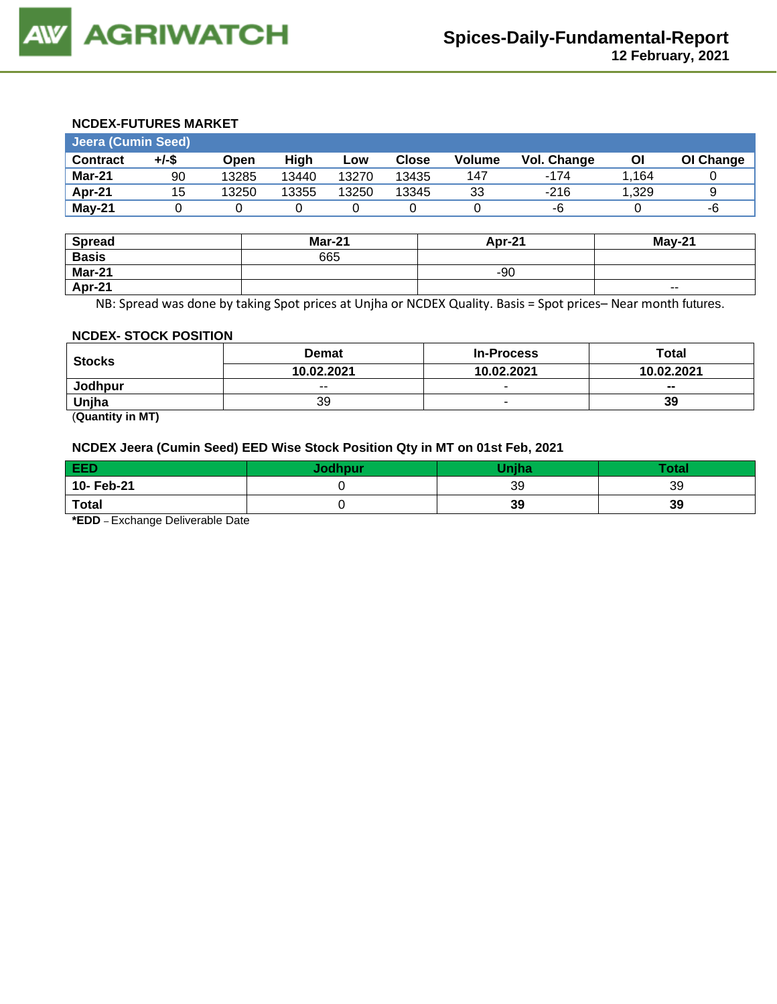### **NCDEX-FUTURES MARKET**

| <b>Jeera (Cumin Seed)</b> |       |       |       |       |       |        |             |       |           |
|---------------------------|-------|-------|-------|-------|-------|--------|-------------|-------|-----------|
| <b>Contract</b>           | +/-\$ | Open  | Hiah  | Low   | Close | Volume | Vol. Change | ΟI    | OI Change |
| Mar-21                    | 90    | 13285 | 13440 | 13270 | 13435 | 147    | $-174$      | .164  |           |
| Apr-21                    | 15    | 13250 | 13355 | 13250 | 13345 | 33     | $-216$      | 1,329 |           |
| $May-21$                  |       |       |       |       |       |        | -6          |       | -6        |

| <b>Spread</b> | Mar-21 | Apr-21 | $May-21$      |
|---------------|--------|--------|---------------|
| <b>Basis</b>  | 665    |        |               |
| Mar-21        |        | $-90$  |               |
| Apr-21        |        |        | $\sim$ $\sim$ |

NB: Spread was done by taking Spot prices at Unjha or NCDEX Quality. Basis = Spot prices– Near month futures.

#### **NCDEX- STOCK POSITION**

| <b>Stocks</b>          | <b>Demat</b> | <b>In-Process</b> | Total      |
|------------------------|--------------|-------------------|------------|
|                        | 10.02.2021   | 10.02.2021        | 10.02.2021 |
| Jodhpur                | $- -$        | $\sim$            | $- -$      |
| Uniha                  | 39           |                   | 39         |
| $\sim$ $\sim$<br>----- |              |                   |            |

(**Quantity in MT)**

# **NCDEX Jeera (Cumin Seed) EED Wise Stock Position Qty in MT on 01st Feb, 2021**

| <b>EED</b>   | Jodhpur | <b>Thina</b> | Total |
|--------------|---------|--------------|-------|
| 10- Feb-21   |         | 39           | 39    |
| <b>Total</b> |         | 39           | 39    |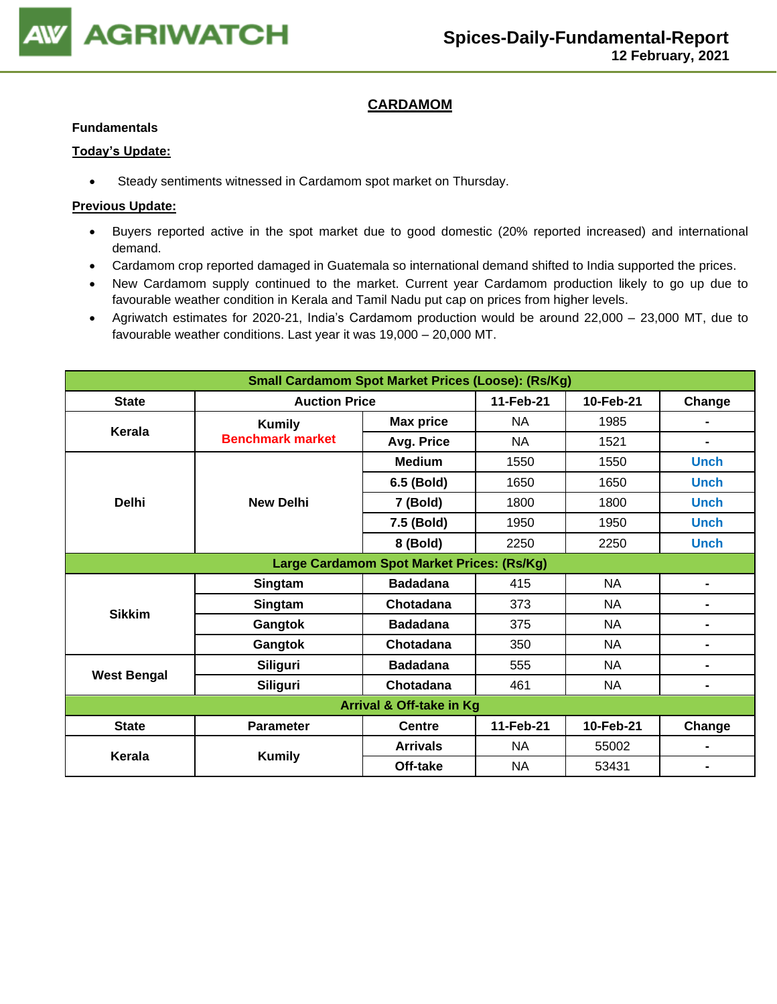

# **CARDAMOM**

### **Fundamentals**

### **Today's Update:**

• Steady sentiments witnessed in Cardamom spot market on Thursday.

- Buyers reported active in the spot market due to good domestic (20% reported increased) and international demand.
- Cardamom crop reported damaged in Guatemala so international demand shifted to India supported the prices.
- New Cardamom supply continued to the market. Current year Cardamom production likely to go up due to favourable weather condition in Kerala and Tamil Nadu put cap on prices from higher levels.
- Agriwatch estimates for 2020-21, India's Cardamom production would be around 22,000 23,000 MT, due to favourable weather conditions. Last year it was 19,000 – 20,000 MT.

| <b>Small Cardamom Spot Market Prices (Loose): (Rs/Kg)</b> |                         |                                            |           |           |                |  |  |
|-----------------------------------------------------------|-------------------------|--------------------------------------------|-----------|-----------|----------------|--|--|
| <b>State</b>                                              | <b>Auction Price</b>    |                                            | 11-Feb-21 | 10-Feb-21 | Change         |  |  |
| Kerala                                                    | <b>Kumily</b>           | <b>Max price</b>                           | <b>NA</b> | 1985      |                |  |  |
|                                                           | <b>Benchmark market</b> | Avg. Price                                 | <b>NA</b> | 1521      | $\blacksquare$ |  |  |
|                                                           |                         | <b>Medium</b>                              | 1550      | 1550      | <b>Unch</b>    |  |  |
|                                                           |                         | 6.5 (Bold)                                 | 1650      | 1650      | <b>Unch</b>    |  |  |
| <b>Delhi</b>                                              | <b>New Delhi</b>        | 7 (Bold)                                   | 1800      | 1800      | <b>Unch</b>    |  |  |
|                                                           |                         | 7.5 (Bold)                                 | 1950      | 1950      | <b>Unch</b>    |  |  |
|                                                           |                         | 8 (Bold)                                   | 2250      | 2250      | <b>Unch</b>    |  |  |
|                                                           |                         | Large Cardamom Spot Market Prices: (Rs/Kg) |           |           |                |  |  |
|                                                           | Singtam                 | <b>Badadana</b>                            | 415       | <b>NA</b> | -              |  |  |
| <b>Sikkim</b>                                             | Singtam                 | Chotadana                                  | 373       | <b>NA</b> | Ξ.             |  |  |
|                                                           | Gangtok                 | <b>Badadana</b>                            | 375       | <b>NA</b> | Ξ.             |  |  |
|                                                           | Gangtok                 | Chotadana                                  | 350       | <b>NA</b> | -              |  |  |
| <b>West Bengal</b>                                        | <b>Siliguri</b>         | <b>Badadana</b>                            | 555       | <b>NA</b> |                |  |  |
|                                                           | Siliguri                | Chotadana                                  | 461       | <b>NA</b> |                |  |  |
| Arrival & Off-take in Kg                                  |                         |                                            |           |           |                |  |  |
| <b>State</b>                                              | <b>Parameter</b>        | <b>Centre</b>                              | 11-Feb-21 | 10-Feb-21 | Change         |  |  |
| Kerala                                                    | <b>Kumily</b>           | <b>Arrivals</b>                            | <b>NA</b> | 55002     | -              |  |  |
|                                                           |                         | Off-take                                   | NA        | 53431     |                |  |  |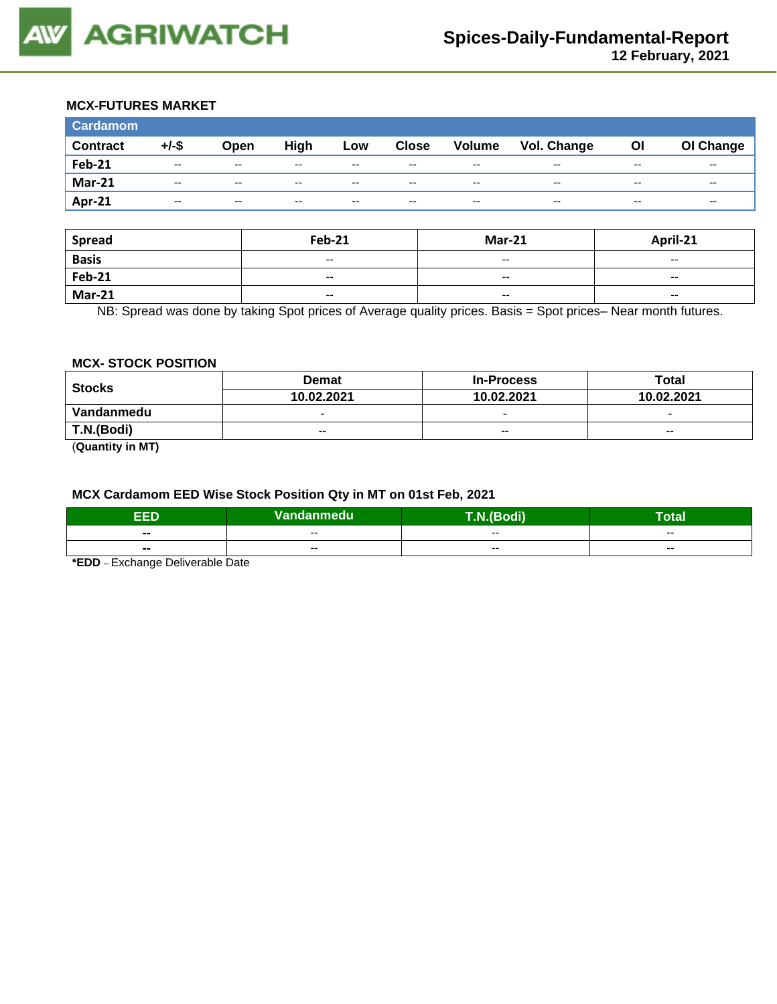## **MCX-FUTURES MARKET**

| <b>Cardamom</b> |                          |                          |       |       |              |                          |                    |       |           |
|-----------------|--------------------------|--------------------------|-------|-------|--------------|--------------------------|--------------------|-------|-----------|
| <b>Contract</b> | $+/-$ \$                 | Open                     | High  | Low   | <b>Close</b> | <b>Volume</b>            | <b>Vol. Change</b> | Οl    | OI Change |
| <b>Feb-21</b>   | $- -$                    | $- -$                    | $- -$ | $- -$ | $- -$        | $\overline{\phantom{a}}$ | $- -$              | $- -$ | $- -$     |
| <b>Mar-21</b>   | $- -$                    | $- -$                    | $- -$ | $- -$ | $- -$        | $- -$                    | $- -$              | $- -$ | $- -$     |
| Apr-21          | $\overline{\phantom{a}}$ | $\overline{\phantom{a}}$ | $- -$ | $- -$ | $- -$        | $- -$                    | $- -$              | $- -$ | $- -$     |

| <b>Spread</b> | <b>Feb-21</b>                                  | <b>Mar-21</b>            | April-21                 |
|---------------|------------------------------------------------|--------------------------|--------------------------|
| <b>Basis</b>  | $\overline{\phantom{a}}$                       | $- -$                    | $- -$                    |
| <b>Feb-21</b> | $\hspace{0.1mm}-\hspace{0.1mm}-\hspace{0.1mm}$ | $\overline{\phantom{a}}$ | $\overline{\phantom{a}}$ |
| <b>Mar-21</b> | $\overline{\phantom{a}}$                       | $- -$                    | $\overline{\phantom{a}}$ |

NB: Spread was done by taking Spot prices of Average quality prices. Basis = Spot prices– Near month futures.

## **MCX- STOCK POSITION**

| <b>Stocks</b> | <b>Demat</b>             | <b>In-Process</b>        | Total                    |  |
|---------------|--------------------------|--------------------------|--------------------------|--|
|               | 10.02.2021               | 10.02.2021               | 10.02.2021               |  |
| Vandanmedu    | $\overline{\phantom{0}}$ | $\overline{\phantom{0}}$ | $\overline{\phantom{0}}$ |  |
| T.N.(Bodi)    | $-$                      | $-$                      | $-$                      |  |
| -----         |                          |                          |                          |  |

(**Quantity in MT)**

## **MCX Cardamom EED Wise Stock Position Qty in MT on 01st Feb, 2021**

| EED            | Vandanmedu | <b>The State of Street</b><br>(Bodi) | <b>Total</b> |
|----------------|------------|--------------------------------------|--------------|
| $- -$          | $- -$      | $- -$                                | $- -$        |
| $\blacksquare$ | $- -$      | $- -$                                | $- -$        |
|                |            |                                      |              |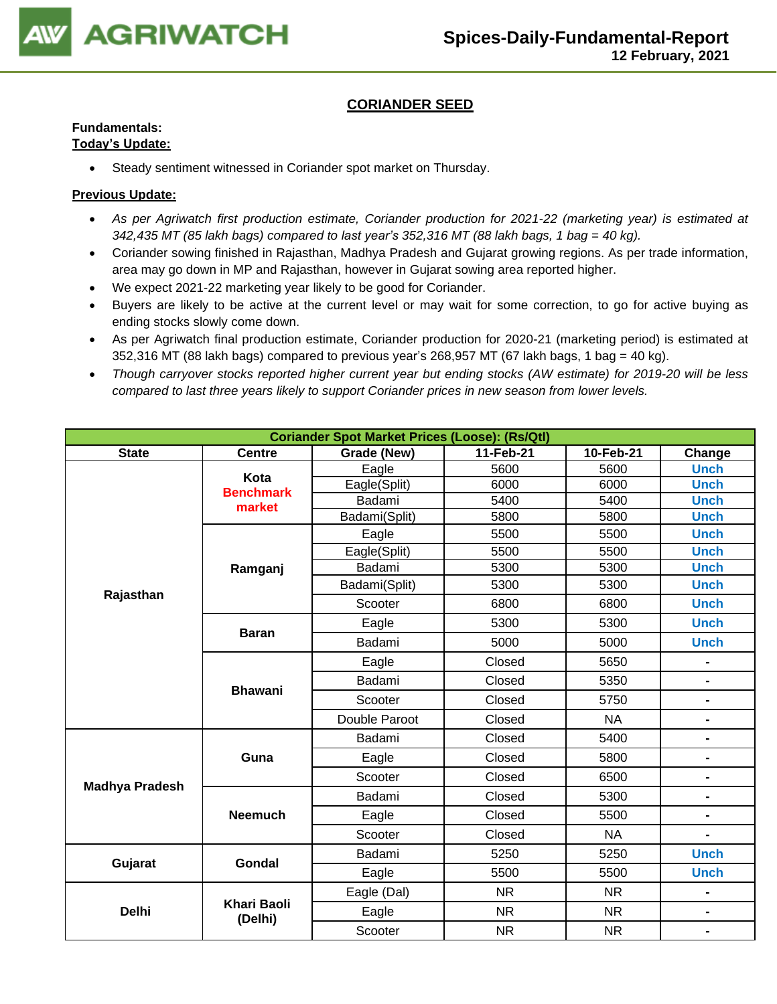

# **CORIANDER SEED**

# **Fundamentals:**

# **Today's Update:**

• Steady sentiment witnessed in Coriander spot market on Thursday.

- *As per Agriwatch first production estimate, Coriander production for 2021-22 (marketing year) is estimated at 342,435 MT (85 lakh bags) compared to last year's 352,316 MT (88 lakh bags, 1 bag = 40 kg).*
- Coriander sowing finished in Rajasthan, Madhya Pradesh and Gujarat growing regions. As per trade information, area may go down in MP and Rajasthan, however in Gujarat sowing area reported higher.
- We expect 2021-22 marketing year likely to be good for Coriander.
- Buyers are likely to be active at the current level or may wait for some correction, to go for active buying as ending stocks slowly come down.
- As per Agriwatch final production estimate, Coriander production for 2020-21 (marketing period) is estimated at  $352,316$  MT (88 lakh bags) compared to previous year's 268,957 MT (67 lakh bags, 1 bag = 40 kg).
- *Though carryover stocks reported higher current year but ending stocks (AW estimate) for 2019-20 will be less compared to last three years likely to support Coriander prices in new season from lower levels.*

| <b>Coriander Spot Market Prices (Loose): (Rs/Qtl)</b> |                               |               |                        |           |                |  |  |
|-------------------------------------------------------|-------------------------------|---------------|------------------------|-----------|----------------|--|--|
| <b>State</b>                                          | <b>Centre</b>                 | Grade (New)   | 11-Feb-21<br>10-Feb-21 |           |                |  |  |
|                                                       | Kota                          | Eagle         | 5600                   | 5600      | <b>Unch</b>    |  |  |
|                                                       | <b>Benchmark</b>              | Eagle(Split)  | 6000                   | 6000      | <b>Unch</b>    |  |  |
|                                                       | market                        | Badami        | 5400                   | 5400      | <b>Unch</b>    |  |  |
|                                                       |                               | Badami(Split) | 5800                   | 5800      | <b>Unch</b>    |  |  |
|                                                       |                               | Eagle         | 5500                   | 5500      | <b>Unch</b>    |  |  |
|                                                       |                               | Eagle(Split)  | 5500                   | 5500      | <b>Unch</b>    |  |  |
|                                                       | Ramganj                       | Badami        | 5300                   | 5300      | <b>Unch</b>    |  |  |
|                                                       |                               | Badami(Split) | 5300                   | 5300      | <b>Unch</b>    |  |  |
| Rajasthan                                             |                               | Scooter       | 6800                   | 6800      | <b>Unch</b>    |  |  |
|                                                       | <b>Baran</b>                  | Eagle         | 5300                   | 5300      | <b>Unch</b>    |  |  |
|                                                       |                               | Badami        | 5000                   | 5000      |                |  |  |
|                                                       | <b>Bhawani</b>                | Eagle         | Closed                 | 5650      |                |  |  |
|                                                       |                               | Badami        | Closed                 |           | $\blacksquare$ |  |  |
|                                                       |                               | Scooter       | Closed                 | 5750      |                |  |  |
|                                                       |                               | Double Paroot | Closed                 | <b>NA</b> | $\blacksquare$ |  |  |
|                                                       |                               | Badami        | Closed                 | 5400      | $\blacksquare$ |  |  |
|                                                       | Guna                          | Eagle         | Closed                 |           | $\blacksquare$ |  |  |
| <b>Madhya Pradesh</b>                                 |                               | Scooter       | Closed                 | 6500      | $\blacksquare$ |  |  |
|                                                       |                               | Badami        | Closed                 | 5300      |                |  |  |
|                                                       | <b>Neemuch</b>                | Eagle         | Closed                 | 5500      | $\blacksquare$ |  |  |
|                                                       |                               | Scooter       | Closed                 | <b>NA</b> | $\blacksquare$ |  |  |
| Gujarat                                               | <b>Gondal</b>                 | Badami        | 5250                   | 5250      | <b>Unch</b>    |  |  |
|                                                       |                               | Eagle         | 5500                   | 5500      | <b>Unch</b>    |  |  |
|                                                       |                               | Eagle (Dal)   | <b>NR</b>              | <b>NR</b> |                |  |  |
| <b>Delhi</b>                                          | <b>Khari Baoli</b><br>(Delhi) | Eagle         | <b>NR</b>              | <b>NR</b> | $\blacksquare$ |  |  |
|                                                       |                               | Scooter       | <b>NR</b>              | <b>NR</b> | $\blacksquare$ |  |  |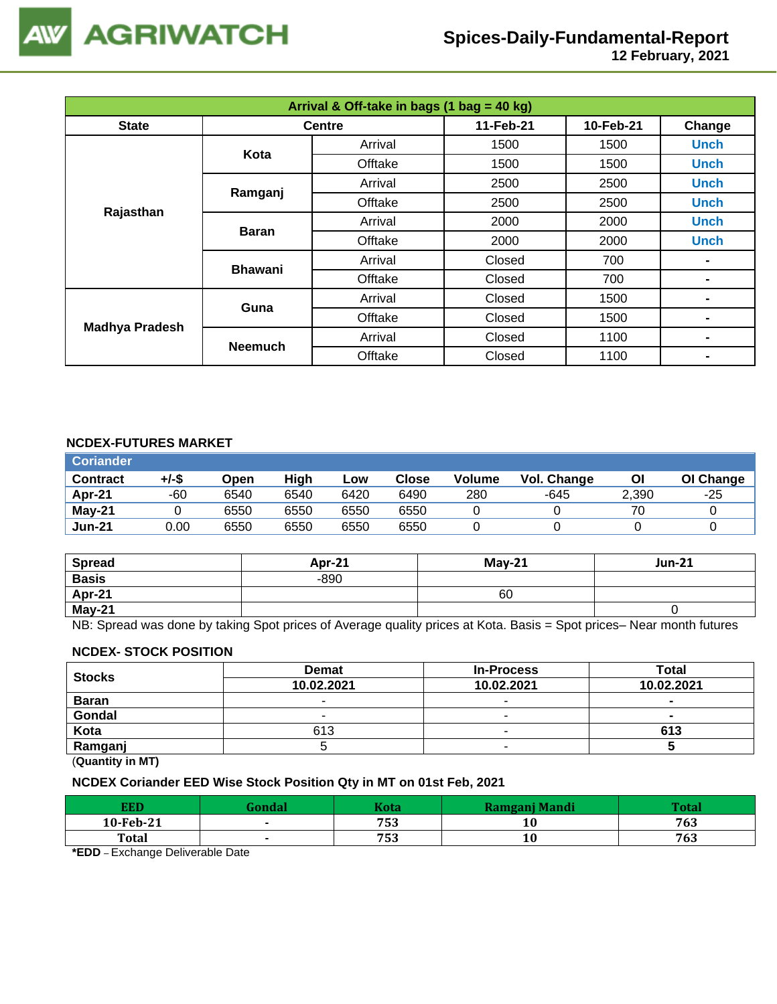

 **12 February, 2021**

| Arrival & Off-take in bags (1 bag = 40 kg) |                |               |           |           |             |  |  |
|--------------------------------------------|----------------|---------------|-----------|-----------|-------------|--|--|
| <b>State</b>                               |                | <b>Centre</b> | 11-Feb-21 | 10-Feb-21 | Change      |  |  |
|                                            | Kota           | Arrival       | 1500      | 1500      | <b>Unch</b> |  |  |
|                                            |                | Offtake       | 1500      | 1500      | <b>Unch</b> |  |  |
|                                            | Ramganj        | Arrival       | 2500      | 2500      | <b>Unch</b> |  |  |
| Rajasthan                                  |                | Offtake       | 2500      | 2500      | <b>Unch</b> |  |  |
|                                            |                | Arrival       | 2000      | 2000      | <b>Unch</b> |  |  |
|                                            | <b>Baran</b>   | Offtake       | 2000      | 2000      | <b>Unch</b> |  |  |
|                                            | <b>Bhawani</b> | Arrival       | Closed    | 700       |             |  |  |
|                                            |                | Offtake       | Closed    | 700       |             |  |  |
|                                            | Guna           | Arrival       | Closed    | 1500      |             |  |  |
| <b>Madhya Pradesh</b>                      |                | Offtake       | Closed    | 1500      |             |  |  |
|                                            | <b>Neemuch</b> | Arrival       | Closed    | 1100      |             |  |  |
|                                            |                | Offtake       | Closed    | 1100      | -           |  |  |

## **NCDEX-FUTURES MARKET**

| <b>Coriander</b> |       |      |      |      |              |               |             |       |           |
|------------------|-------|------|------|------|--------------|---------------|-------------|-------|-----------|
| <b>Contract</b>  | +/-\$ | Open | High | Low  | <b>Close</b> | <b>Volume</b> | Vol. Change | ΟI    | OI Change |
| Apr-21           | -60   | 6540 | 6540 | 6420 | 6490         | 280           | -645        | 2,390 | $-25$     |
| $May-21$         |       | 6550 | 6550 | 6550 | 6550         |               |             | 70    |           |
| <b>Jun-21</b>    | 0.00  | 6550 | 6550 | 6550 | 6550         |               |             |       |           |

| <b>Spread</b> | Apr-21 | $Mav-21$ | <b>Jun-21</b> |
|---------------|--------|----------|---------------|
| <b>Basis</b>  | $-890$ |          |               |
| Apr-21        |        | 60       |               |
| <b>May-21</b> |        |          |               |

NB: Spread was done by taking Spot prices of Average quality prices at Kota. Basis = Spot prices– Near month futures

## **NCDEX- STOCK POSITION**

| <b>Stocks</b> | <b>Demat</b> | <b>In-Process</b> | Total      |
|---------------|--------------|-------------------|------------|
|               | 10.02.2021   | 10.02.2021        | 10.02.2021 |
| <b>Baran</b>  |              |                   | $\sim$     |
| Gondal        |              | -                 | -          |
| Kota          | 613          | -                 | 613        |
| Ramganj       |              |                   |            |

(**Quantity in MT)**

# **NCDEX Coriander EED Wise Stock Position Qty in MT on 01st Feb, 2021**

| <b>EED</b>   | <b>Kota</b> | Ramganj Mandi | $T_{\alpha}$ ta |
|--------------|-------------|---------------|-----------------|
| 10-Feb-21    | 753         | 10            | 763             |
| <b>Total</b> | 753         | 10            | 763             |